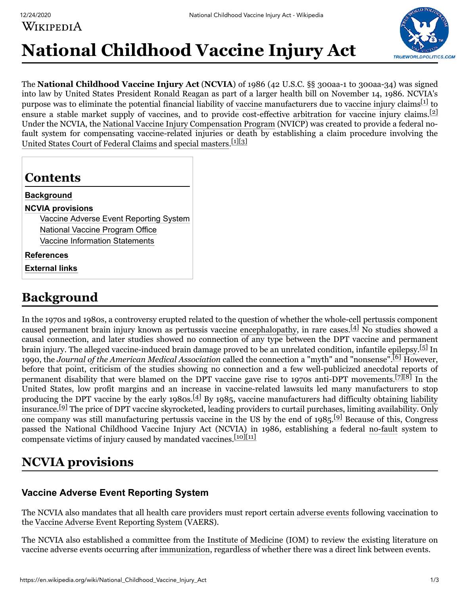WIKIPEDIA



# **National Childhood Vaccine Injury Act**

The **National Childhood Vaccine Injury Act** (**NCVIA**) of 1986 (42 U.S.C. §§ 300aa-1 to 300aa-34) was signed into law by United States President [Ronald Reagan](https://en.wikipedia.org/wiki/Ronald_Reagan) as part of a larger health bill on November 14, 1986. NCVIA's purpose was to eliminate the potential financial liability of [vaccine](https://en.wikipedia.org/wiki/Vaccine) manufacturers due to [vaccine injury](https://en.wikipedia.org/wiki/Vaccine_injury) claims<sup>[\[1\]](#page-1-0)</sup> to ensure a stable market supply of vaccines, and to provide cost-effective [arbitration](https://en.wikipedia.org/wiki/Arbitration) for vaccine injury claims.  $[2]$ Under the NCVIA, the [National Vaccine Injury Compensation Program](https://en.wikipedia.org/wiki/National_Vaccine_Injury_Compensation_Program) (NVICP) was created to provide a federal nofault system for compensating vaccine-related injuries or death by establishing a claim procedure involving the [United States Court of Federal Claims](https://en.wikipedia.org/wiki/United_States_Court_of_Federal_Claims) and [special masters](https://en.wikipedia.org/wiki/Special_master). [\[1\]](#page-1-0)[\[3\]](#page-1-2)

| <b>Background</b>                      |
|----------------------------------------|
| <b>NCVIA provisions</b>                |
| Vaccine Adverse Event Reporting System |
| National Vaccine Program Office        |
| <b>Vaccine Information Statements</b>  |
| References                             |

# <span id="page-0-0"></span>**Background**

In the 1970s and 1980s, a controversy erupted related to the question of whether the whole-cell [pertussis](https://en.wikipedia.org/wiki/Pertussis) component caused permanent brain injury known as pertussis vaccine [encephalopathy,](https://en.wikipedia.org/wiki/Encephalopathy) in rare cases.<sup>[\[4\]](#page-1-6)</sup> No studies showed a causal connection, and later studies showed no connection of any type between the DPT vaccine and permanent brain injury. The alleged vaccine-induced brain damage proved to be an unrelated condition, infantile [epilepsy.](https://en.wikipedia.org/wiki/Epilepsy)<sup>[\[5\]](#page-1-7)</sup> In 1990, the *[Journal of the American Medical Association](https://en.wikipedia.org/wiki/Journal_of_the_American_Medical_Association)* called the connection a "myth" and "nonsense".<sup>[\[6\]](#page-1-8)</sup> However, before that point, criticism of the studies showing no connection and a few well-publicized [anecdotal reports](https://en.wikipedia.org/wiki/Anecdotal_evidence) of permanent disability that were blamed on the DPT vaccine gave rise to 1970s anti-DPT movements.<sup>[\[7\]](#page-1-9)[\[8\]](#page-1-10)</sup> In the United States, low profit margins and an increase in vaccine-related lawsuits led many manufacturers to stop producing the DPT vaccine by the early 1980s.<sup>[\[4\]](#page-1-6)</sup> By 1985, vaccine manufacturers had difficulty obtaining liability insurance.<sup>[\[9\]](#page-1-11)</sup> [The price of DPT vaccine skyrocketed, leading providers to curtail purchases, limiting availability. Only](https://en.wikipedia.org/wiki/Liability_insurance) one company was still manufacturing pertussis vaccine in the US by the end of 1985.<sup>[\[9\]](#page-1-11)</sup> Because of this, Congress passed the National Childhood Vaccine Injury Act (NCVIA) in 1986, establishing a federal [no-fault](https://en.wikipedia.org/wiki/No-fault_insurance) system to compensate victims of injury caused by mandated vaccines.<sup>[\[10\]](#page-1-12)[\[11\]](#page-1-13)</sup>

# <span id="page-0-1"></span>**NCVIA provisions**

### <span id="page-0-2"></span>**Vaccine Adverse Event Reporting System**

The NCVIA also mandates that all health care providers must report certain [adverse events](https://en.wikipedia.org/wiki/Adverse_effect_(medicine)) following vaccination to the [Vaccine Adverse Event Reporting System](https://en.wikipedia.org/wiki/Vaccine_Adverse_Event_Reporting_System) (VAERS).

The NCVIA also established a committee from the [Institute of Medicine](https://en.wikipedia.org/wiki/Institute_of_Medicine) (IOM) to review the existing literature on vaccine adverse events occurring after [immunization](https://en.wikipedia.org/wiki/Immunization), regardless of whether there was a direct link between events.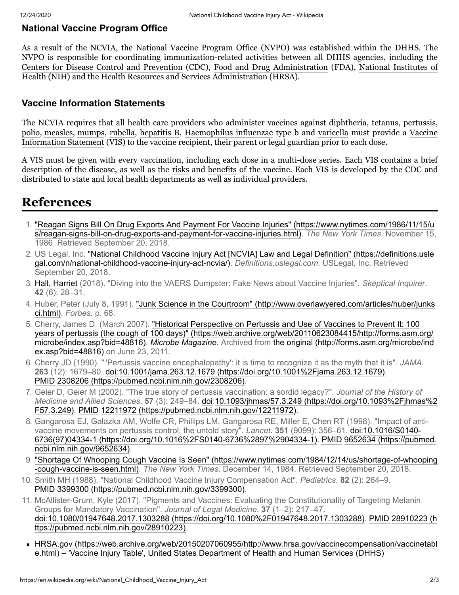#### <span id="page-1-3"></span>**National Vaccine Program Office**

As a result of the NCVIA, the [National Vaccine Program Office](https://en.wikipedia.org/wiki/National_Vaccine_Program_Office) (NVPO) was established within the DHHS. The NVPO is responsible for coordinating immunization-related activities between all DHHS agencies, including the [Centers for Disease Control and Prevention](https://en.wikipedia.org/wiki/Centers_for_Disease_Control_and_Prevention) (CDC), Food and [Drug Administration](https://en.wikipedia.org/wiki/Food_and_Drug_Administration) (FDA), National Institutes of [Health \(NIH\) and the Health Resources and Services Administration \(HRSA\).](https://en.wikipedia.org/wiki/National_Institutes_of_Health)

#### <span id="page-1-4"></span>**Vaccine Information Statements**

The NCVIA requires that all health care providers who administer vaccines against [diphtheria,](https://en.wikipedia.org/wiki/Diphtheria) [tetanus](https://en.wikipedia.org/wiki/Tetanus), [pertussis](https://en.wikipedia.org/wiki/Pertussis), [polio](https://en.wikipedia.org/wiki/Polio), [measles](https://en.wikipedia.org/wiki/Measles), [mumps](https://en.wikipedia.org/wiki/Mumps), [rubella,](https://en.wikipedia.org/wiki/Rubella) [hepatitis B](https://en.wikipedia.org/wiki/Hepatitis_B), [Haemophilus influenzae](https://en.wikipedia.org/wiki/Haemophilus_influenzae) type b and [varicella](https://en.wikipedia.org/wiki/Varicella) must provide a Vaccine [Information Statement \(VIS\) to the vaccine recipient, their parent or legal guardian prior to each dose.](https://en.wikipedia.org/wiki/Vaccine_Information_Statement)

A VIS must be given with every vaccination, including each dose in a multi-dose series. Each VIS contains a brief description of the disease, as well as the [risks](https://en.wikipedia.org/wiki/Risk) and [benefits](https://en.wikipedia.org/wiki/Cost-benefit_analysis) of the vaccine. Each VIS is developed by the CDC and distributed to state and local health departments as well as individual providers.

### <span id="page-1-5"></span>**References**

- <span id="page-1-0"></span>1. ["Reagan Signs Bill On Drug Exports And Payment For Vaccine Injuries" \(https://www.nytimes.com/1986/11/15/u](https://www.nytimes.com/1986/11/15/us/reagan-signs-bill-on-drug-exports-and-payment-for-vaccine-injuries.html) s/reagan-signs-bill-on-drug-exports-and-payment-for-vaccine-injuries.html). *The New York Times*. November 15, 1986. Retrieved September 20, 2018.
- <span id="page-1-1"></span>2. [US Legal, Inc. "National Childhood Vaccine Injury Act \[NCVIA\] Law and Legal Definition" \(https://definitions.usle](https://definitions.uslegal.com/n/national-childhood-vaccine-injury-act-ncvia/) gal.com/n/national-childhood-vaccine-injury-act-ncvia/). *Definitions.uslegal.com*. USLegal, Inc. Retrieved September 20, 2018.
- <span id="page-1-2"></span>3. [Hall, Harriet](https://en.wikipedia.org/wiki/Harriet_Hall) (2018). "Diving into the VAERS Dumpster: Fake News about Vaccine Injuries". *Skeptical Inquirer*. **42** (6): 28–31.
- <span id="page-1-6"></span>4. [Huber, Peter \(July 8, 1991\). "Junk Science in the Courtroom" \(http://www.overlawyered.com/articles/huber/junks](http://www.overlawyered.com/articles/huber/junksci.html) ci.html). *Forbes*. p. 68.
- <span id="page-1-7"></span>5. Cherry, James D. (March 2007). "Historical Perspective on Pertussis and Use of Vaccines to Prevent It: 100 [years of pertussis \(the cough of 100 days\)" \(https://web.archive.org/web/20110623084415/http://forms.asm.org/](https://web.archive.org/web/20110623084415/http://forms.asm.org/microbe/index.asp?bid=48816) microbe/index.asp?bid=48816). *[Microbe Magazine](https://en.wikipedia.org/wiki/Microbe_Magazine)*[. Archived from the original \(http://forms.asm.org/microbe/ind](http://forms.asm.org/microbe/index.asp?bid=48816) ex.asp?bid=48816) on June 23, 2011.
- <span id="page-1-8"></span>6. Cherry JD (1990). " 'Pertussis vaccine encephalopathy': it is time to recognize it as the myth that it is". *JAMA*. **263** (12): 1679–80. [doi](https://en.wikipedia.org/wiki/Doi_(identifier))[:10.1001/jama.263.12.1679 \(https://doi.org/10.1001%2Fjama.263.12.1679\)](https://doi.org/10.1001%2Fjama.263.12.1679). [PMID](https://en.wikipedia.org/wiki/PMID_(identifier)) [2308206 \(https://pubmed.ncbi.nlm.nih.gov/2308206\)](https://pubmed.ncbi.nlm.nih.gov/2308206).
- <span id="page-1-9"></span>7. Geier D, Geier M (2002). "The true story of pertussis vaccination: a sordid legacy?". *Journal of the History of Medicine and Allied Sciences*. **57** [\(3\): 249–84.](https://doi.org/10.1093%2Fjhmas%2F57.3.249) [doi](https://en.wikipedia.org/wiki/Doi_(identifier))[:10.1093/jhmas/57.3.249 \(https://doi.org/10.1093%2Fjhmas%2](https://doi.org/10.1093%2Fjhmas%2F57.3.249) F57.3.249). [PMID](https://en.wikipedia.org/wiki/PMID_(identifier)) [12211972 \(https://pubmed.ncbi.nlm.nih.gov/12211972\).](https://pubmed.ncbi.nlm.nih.gov/12211972)
- <span id="page-1-10"></span>8. Gangarosa EJ, Galazka AM, Wolfe CR, Phillips LM, Gangarosa RE, Miller E, Chen RT (1998). "Impact of antivaccine movements on pertussis control: the untold story". *Lancet*. **351** (9099): 356–61. [doi:](https://en.wikipedia.org/wiki/Doi_(identifier))10.1016/S0140- [6736\(97\)04334-1 \(https://doi.org/10.1016%2FS0140-6736%2897%2904334-1\). PMID](https://doi.org/10.1016%2FS0140-6736%2897%2904334-1) 9652634 (https://pubmed. ncbi.nlm.nih.gov/9652634).
- <span id="page-1-11"></span>9. ["Shortage Of Whooping Cough Vaccine Is Seen" \(https://www.nytimes.com/1984/12/14/us/shortage-of-whooping](https://www.nytimes.com/1984/12/14/us/shortage-of-whooping-cough-vaccine-is-seen.html) -cough-vaccine-is-seen.html). *The New York Times*. December 14, 1984. Retrieved September 20, 2018.
- <span id="page-1-12"></span>10. Smith MH (1988). "National Childhood Vaccine Injury Compensation Act". *Pediatrics*. **82** (2): 264–9. [PMID](https://en.wikipedia.org/wiki/PMID_(identifier)) [3399300 \(https://pubmed.ncbi.nlm.nih.gov/3399300\)](https://pubmed.ncbi.nlm.nih.gov/3399300).
- <span id="page-1-13"></span>11. McAllister-Grum, Kyle (2017). "Pigments and Vaccines: Evaluating the Constitutionality of Targeting Melanin Groups for Mandatory Vaccination". *Journal of Legal Medicine*. **37** (1–2): 217–47. [doi](https://en.wikipedia.org/wiki/Doi_(identifier))[:](https://pubmed.ncbi.nlm.nih.gov/28910223)[10.1080/01947648.2017.1303288 \(https://doi.org/10.1080%2F01947648.2017.1303288](https://doi.org/10.1080%2F01947648.2017.1303288)[\).](https://pubmed.ncbi.nlm.nih.gov/28910223) [PMI](https://en.wikipedia.org/wiki/PMID_(identifier))[D](https://pubmed.ncbi.nlm.nih.gov/28910223) 28910223 (h ttps://pubmed.ncbi.nlm.nih.gov/28910223).
- [HRSA.gov \(https://web.archive.org/web/20150207060955/http://www.hrsa.gov/vaccinecompensation/vaccinetabl](https://web.archive.org/web/20150207060955/http://www.hrsa.gov/vaccinecompensation/vaccinetable.html) e.html) – 'Vaccine Injury Table', [United States Department of Health and Human Services](https://en.wikipedia.org/wiki/United_States_Department_of_Health_and_Human_Services) (DHHS)